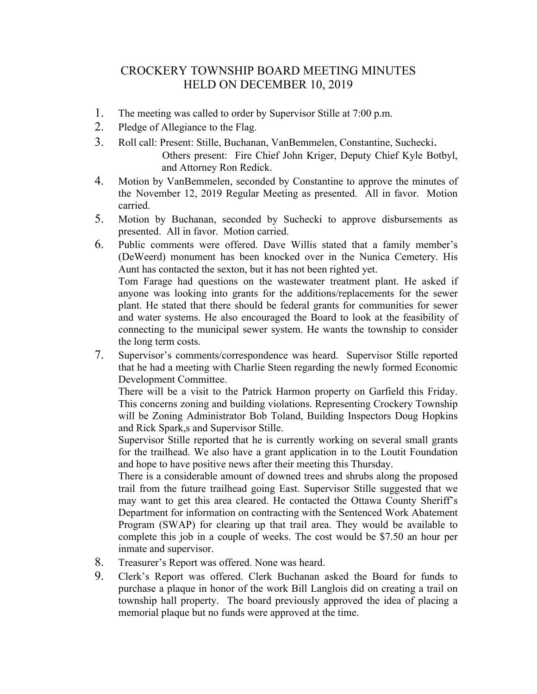## CROCKERY TOWNSHIP BOARD MEETING MINUTES HELD ON DECEMBER 10, 2019

- 1. The meeting was called to order by Supervisor Stille at 7:00 p.m.
- 2. Pledge of Allegiance to the Flag.
- 3. Roll call: Present: Stille, Buchanan, VanBemmelen, Constantine, Suchecki. Others present: Fire Chief John Kriger, Deputy Chief Kyle Botbyl,

and Attorney Ron Redick.

- 4. Motion by VanBemmelen, seconded by Constantine to approve the minutes of the November 12, 2019 Regular Meeting as presented. All in favor. Motion carried.
- 5. Motion by Buchanan, seconded by Suchecki to approve disbursements as presented. All in favor. Motion carried.
- 6. Public comments were offered. Dave Willis stated that a family member's (DeWeerd) monument has been knocked over in the Nunica Cemetery. His Aunt has contacted the sexton, but it has not been righted yet.

Tom Farage had questions on the wastewater treatment plant. He asked if anyone was looking into grants for the additions/replacements for the sewer plant. He stated that there should be federal grants for communities for sewer and water systems. He also encouraged the Board to look at the feasibility of connecting to the municipal sewer system. He wants the township to consider the long term costs.

7. Supervisor's comments/correspondence was heard. Supervisor Stille reported that he had a meeting with Charlie Steen regarding the newly formed Economic Development Committee.

There will be a visit to the Patrick Harmon property on Garfield this Friday. This concerns zoning and building violations. Representing Crockery Township will be Zoning Administrator Bob Toland, Building Inspectors Doug Hopkins and Rick Spark,s and Supervisor Stille.

Supervisor Stille reported that he is currently working on several small grants for the trailhead. We also have a grant application in to the Loutit Foundation and hope to have positive news after their meeting this Thursday.

There is a considerable amount of downed trees and shrubs along the proposed trail from the future trailhead going East. Supervisor Stille suggested that we may want to get this area cleared. He contacted the Ottawa County Sheriff's Department for information on contracting with the Sentenced Work Abatement Program (SWAP) for clearing up that trail area. They would be available to complete this job in a couple of weeks. The cost would be \$7.50 an hour per inmate and supervisor.

- 8. Treasurer's Report was offered. None was heard.
- 9. Clerk's Report was offered. Clerk Buchanan asked the Board for funds to purchase a plaque in honor of the work Bill Langlois did on creating a trail on township hall property. The board previously approved the idea of placing a memorial plaque but no funds were approved at the time.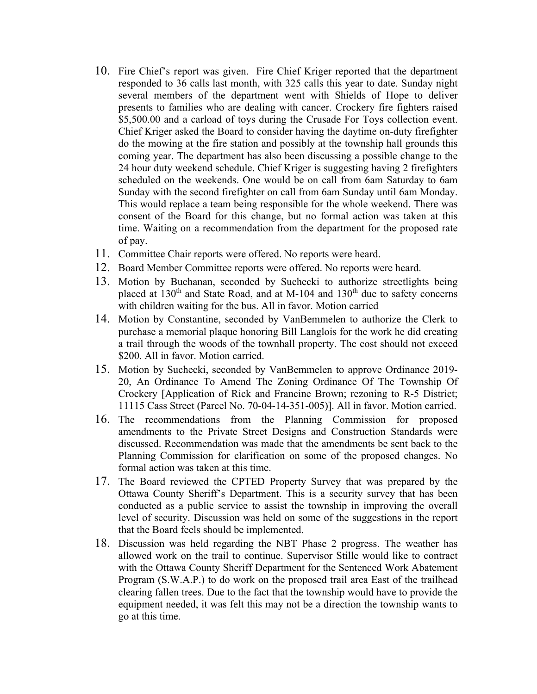- 10. Fire Chief's report was given. Fire Chief Kriger reported that the department responded to 36 calls last month, with 325 calls this year to date. Sunday night several members of the department went with Shields of Hope to deliver presents to families who are dealing with cancer. Crockery fire fighters raised \$5,500.00 and a carload of toys during the Crusade For Toys collection event. Chief Kriger asked the Board to consider having the daytime on-duty firefighter do the mowing at the fire station and possibly at the township hall grounds this coming year. The department has also been discussing a possible change to the 24 hour duty weekend schedule. Chief Kriger is suggesting having 2 firefighters scheduled on the weekends. One would be on call from 6am Saturday to 6am Sunday with the second firefighter on call from 6am Sunday until 6am Monday. This would replace a team being responsible for the whole weekend. There was consent of the Board for this change, but no formal action was taken at this time. Waiting on a recommendation from the department for the proposed rate of pay.
- 11. Committee Chair reports were offered. No reports were heard.
- 12. Board Member Committee reports were offered. No reports were heard.
- 13. Motion by Buchanan, seconded by Suchecki to authorize streetlights being placed at 130<sup>th</sup> and State Road, and at M-104 and 130<sup>th</sup> due to safety concerns with children waiting for the bus. All in favor. Motion carried
- 14. Motion by Constantine, seconded by VanBemmelen to authorize the Clerk to purchase a memorial plaque honoring Bill Langlois for the work he did creating a trail through the woods of the townhall property. The cost should not exceed \$200. All in favor. Motion carried.
- 15. Motion by Suchecki, seconded by VanBemmelen to approve Ordinance 2019- 20, An Ordinance To Amend The Zoning Ordinance Of The Township Of Crockery [Application of Rick and Francine Brown; rezoning to R-5 District; 11115 Cass Street (Parcel No. 70-04-14-351-005)]. All in favor. Motion carried.
- 16. The recommendations from the Planning Commission for proposed amendments to the Private Street Designs and Construction Standards were discussed. Recommendation was made that the amendments be sent back to the Planning Commission for clarification on some of the proposed changes. No formal action was taken at this time.
- 17. The Board reviewed the CPTED Property Survey that was prepared by the Ottawa County Sheriff's Department. This is a security survey that has been conducted as a public service to assist the township in improving the overall level of security. Discussion was held on some of the suggestions in the report that the Board feels should be implemented.
- 18. Discussion was held regarding the NBT Phase 2 progress. The weather has allowed work on the trail to continue. Supervisor Stille would like to contract with the Ottawa County Sheriff Department for the Sentenced Work Abatement Program (S.W.A.P.) to do work on the proposed trail area East of the trailhead clearing fallen trees. Due to the fact that the township would have to provide the equipment needed, it was felt this may not be a direction the township wants to go at this time.